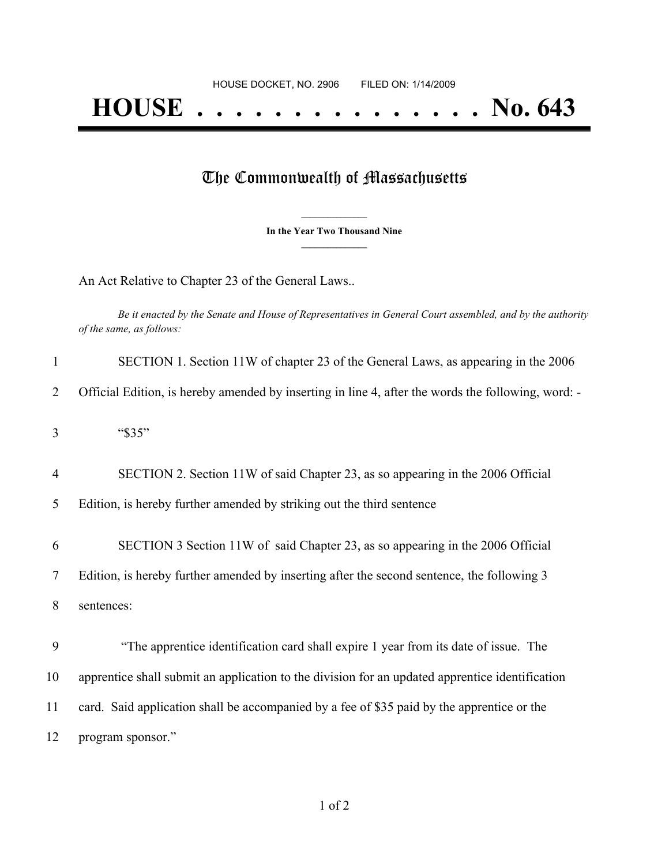## The Commonwealth of Massachusetts

**\_\_\_\_\_\_\_\_\_\_\_\_\_\_\_ In the Year Two Thousand Nine \_\_\_\_\_\_\_\_\_\_\_\_\_\_\_**

An Act Relative to Chapter 23 of the General Laws..

Be it enacted by the Senate and House of Representatives in General Court assembled, and by the authority *of the same, as follows:*

| $\mathbf{1}$   | SECTION 1. Section 11W of chapter 23 of the General Laws, as appearing in the 2006                 |
|----------------|----------------------------------------------------------------------------------------------------|
| 2              | Official Edition, is hereby amended by inserting in line 4, after the words the following, word: - |
| 3              | "\$35"                                                                                             |
| $\overline{4}$ | SECTION 2. Section 11W of said Chapter 23, as so appearing in the 2006 Official                    |
| 5              | Edition, is hereby further amended by striking out the third sentence                              |
| 6              | SECTION 3 Section 11W of said Chapter 23, as so appearing in the 2006 Official                     |
| 7              | Edition, is hereby further amended by inserting after the second sentence, the following 3         |
| 8              | sentences:                                                                                         |
| 9              | "The apprentice identification card shall expire 1 year from its date of issue. The                |
| 10             | apprentice shall submit an application to the division for an updated apprentice identification    |
| 11             | card. Said application shall be accompanied by a fee of \$35 paid by the apprentice or the         |
| 12             | program sponsor."                                                                                  |